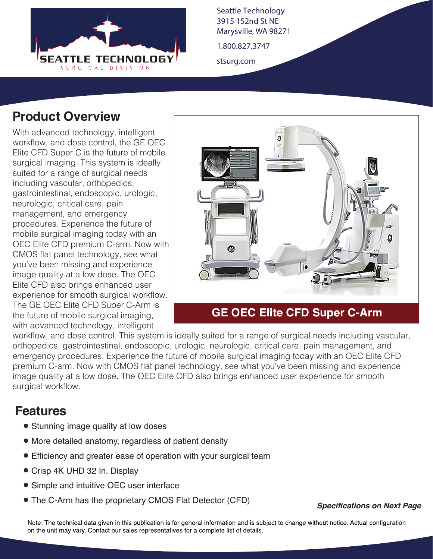

Seattle Technology 3915 152nd St NE Marysville, WA 98271

1.800.827.3747

stsurg.com

## **Product Overview**

With advanced technology, intelligent workflow, and dose control, the GE OEC Elite CFD Super C is the future of mobile surgical imaging. This system is ideally suited for a range of surgical needs including vascular, orthopedics, gastrointestinal, endoscopic, urologic, neurologic, critical care, pain management, and emergency procedures. Experience the future of mobile surgical imaging today with an OEC Elite CFD premium C-arm. Now with CMOS flat panel technology, see what you've been missing and experience image quality at a low dose. The OEC Elite CFD also brings enhanced user experience for smooth surgical workflow. The GE OEC Elite CFD Super C-Arm is the future of mobile surgical imaging, with advanced technology, intelligent



### **GE OEC Elite CFD Super C-Arm**

workflow, and dose control. This system is ideally suited for a range of surgical needs including vascular, orthopedics, gastrointestinal, endoscopic, urologic, neurologic, critical care, pain management, and emergency procedures. Experience the future of mobile surgical imaging today with an OEC Elite CFD premium C-arm. Now with CMOS flat panel technology, see what you've been missing and experience image quality at a low dose. The OEC Elite CFD also brings enhanced user experience for smooth surgical workflow.

## **Features**

- Stunning image quality at low doses
- More detailed anatomy, regardless of patient density
- Efficiency and greater ease of operation with your surgical team
- Crisp 4K UHD 32 In. Display
- Simple and intuitive OEC user interface
- The C-Arm has the proprietary CMOS Flat Detector (CFD) *Specifications on Next Page*

Note: The technical data given in this publication is for general information and is subject to change without notice. Actual configuration on the unit may vary. Contact our sales representatives for a complete list of details.